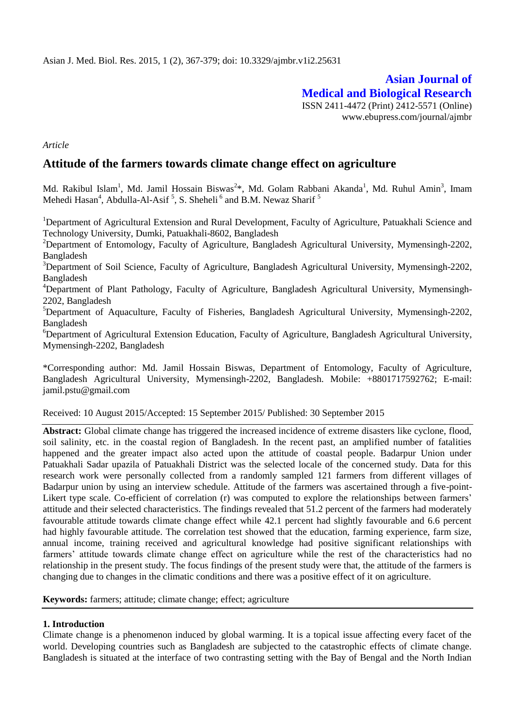# **Asian Journal of Medical and Biological Research** ISSN 2411-4472 (Print) 2412-5571 (Online)

www.ebupress.com/journal/ajmbr

*Article*

## **Attitude of the farmers towards climate change effect on agriculture**

Md. Rakibul Islam<sup>1</sup>, Md. Jamil Hossain Biswas<sup>2\*</sup>, Md. Golam Rabbani Akanda<sup>1</sup>, Md. Ruhul Amin<sup>3</sup>, Imam Mehedi Hasan<sup>4</sup>, Abdulla-Al-Asif<sup>5</sup>, S. Sheheli<sup>6</sup> and B.M. Newaz Sharif<sup>5</sup>

<sup>1</sup>Department of Agricultural Extension and Rural Development, Faculty of Agriculture, Patuakhali Science and Technology University, Dumki, Patuakhali-8602, Bangladesh

<sup>2</sup>Department of Entomology, Faculty of Agriculture, Bangladesh Agricultural University, Mymensingh-2202, Bangladesh

<sup>3</sup>Department of Soil Science, Faculty of Agriculture, Bangladesh Agricultural University, Mymensingh-2202, Bangladesh

<sup>4</sup>Department of Plant Pathology, Faculty of Agriculture, Bangladesh Agricultural University, Mymensingh-2202, Bangladesh

 ${}^{5}$ Department of Aquaculture, Faculty of Fisheries, Bangladesh Agricultural University, Mymensingh-2202, Bangladesh

<sup>6</sup>Department of Agricultural Extension Education, Faculty of Agriculture, Bangladesh Agricultural University, Mymensingh-2202, Bangladesh

\*Corresponding author: Md. Jamil Hossain Biswas, Department of Entomology, Faculty of Agriculture, Bangladesh Agricultural University, Mymensingh-2202, Bangladesh. Mobile: +8801717592762; E-mail: [jamil.pstu@gmail.com](mailto:jamil.pstu@gmail.com)

#### Received: 10 August 2015/Accepted: 15 September 2015/ Published: 30 September 2015

**Abstract:** Global climate change has triggered the increased incidence of extreme disasters like cyclone, flood, soil salinity, etc. in the coastal region of Bangladesh. In the recent past, an amplified number of fatalities happened and the greater impact also acted upon the attitude of coastal people. Badarpur Union under Patuakhali Sadar upazila of Patuakhali District was the selected locale of the concerned study. Data for this research work were personally collected from a randomly sampled 121 farmers from different villages of Badarpur union by using an interview schedule. Attitude of the farmers was ascertained through a five-point-Likert type scale. Co-efficient of correlation (r) was computed to explore the relationships between farmers' attitude and their selected characteristics. The findings revealed that 51.2 percent of the farmers had moderately favourable attitude towards climate change effect while 42.1 percent had slightly favourable and 6.6 percent had highly favourable attitude. The correlation test showed that the education, farming experience, farm size, annual income, training received and agricultural knowledge had positive significant relationships with farmers' attitude towards climate change effect on agriculture while the rest of the characteristics had no relationship in the present study. The focus findings of the present study were that, the attitude of the farmers is changing due to changes in the climatic conditions and there was a positive effect of it on agriculture.

**Keywords:** farmers; attitude; climate change; effect; agriculture

#### **1. Introduction**

Climate change is a phenomenon induced by global warming. It is a topical issue affecting every facet of the world. Developing countries such as Bangladesh are subjected to the catastrophic effects of climate change. Bangladesh is situated at the interface of two contrasting setting with the Bay of Bengal and the North Indian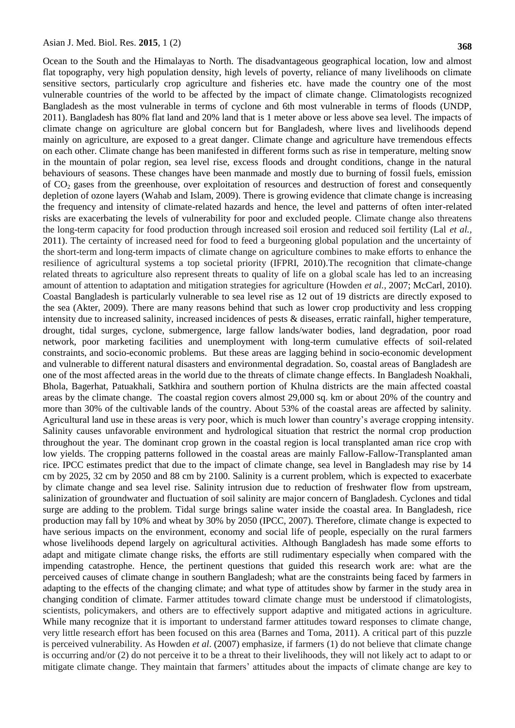Ocean to the South and the Himalayas to North. The disadvantageous geographical location, low and almost flat topography, very high population density, high levels of poverty, reliance of many livelihoods on climate sensitive sectors, particularly crop agriculture and fisheries etc. have made the country one of the most vulnerable countries of the world to be affected by the impact of climate change. Climatologists recognized Bangladesh as the most vulnerable in terms of cyclone and 6th most vulnerable in terms of floods (UNDP, 2011). Bangladesh has 80% flat land and 20% land that is 1 meter above or less above sea level. The impacts of climate change on agriculture are global concern but for Bangladesh, where lives and livelihoods depend mainly on agriculture, are exposed to a great danger. Climate change and agriculture have tremendous effects on each other. Climate change has been manifested in different forms such as rise in temperature, melting snow in the mountain of polar region, sea level rise, excess floods and drought conditions, change in the natural behaviours of seasons. These changes have been manmade and mostly due to burning of fossil fuels, emission of CO<sup>2</sup> gases from the greenhouse, over exploitation of resources and destruction of forest and consequently depletion of ozone layers (Wahab and Islam, 2009). There is growing evidence that climate change is increasing the frequency and intensity of climate-related hazards and hence, the level and patterns of often inter-related risks are exacerbating the levels of vulnerability for poor and excluded people. Climate change also threatens the long-term capacity for food production through increased soil erosion and reduced soil fertility (Lal *et al.,* 2011). The certainty of increased need for food to feed a burgeoning global population and the uncertainty of the short-term and long-term impacts of climate change on agriculture combines to make efforts to enhance the resilience of agricultural systems a top societal priority (IFPRI, 2010).The recognition that climate-change related threats to agriculture also represent threats to quality of life on a global scale has led to an increasing amount of attention to adaptation and mitigation strategies for agriculture (Howden *et al.,* 2007; McCarl, 2010). Coastal Bangladesh is particularly vulnerable to sea level rise as 12 out of 19 districts are directly exposed to the sea (Akter, 2009). There are many reasons behind that such as lower crop productivity and less cropping intensity due to increased salinity, increased incidences of pests & diseases, erratic rainfall, higher temperature, drought, tidal surges, cyclone, submergence, large fallow lands/water bodies, land degradation, poor road network, poor marketing facilities and unemployment with long-term cumulative effects of soil-related constraints, and socio-economic problems. But these areas are lagging behind in socio-economic development and vulnerable to different natural disasters and environmental degradation. So, coastal areas of Bangladesh are one of the most affected areas in the world due to the threats of climate change effects. In Bangladesh Noakhali, Bhola, Bagerhat, Patuakhali, Satkhira and southern portion of Khulna districts are the main affected coastal areas by the climate change. The coastal region covers almost 29,000 sq. km or about 20% of the country and more than 30% of the cultivable lands of the country. About 53% of the coastal areas are affected by salinity. Agricultural land use in these areas is very poor, which is much lower than country"s average cropping intensity. Salinity causes unfavorable environment and hydrological situation that restrict the normal crop production throughout the year. The dominant crop grown in the coastal region is local transplanted aman rice crop with low yields. The cropping patterns followed in the coastal areas are mainly Fallow-Fallow-Transplanted aman rice. IPCC estimates predict that due to the impact of climate change, sea level in Bangladesh may rise by 14 cm by 2025, 32 cm by 2050 and 88 cm by 2100. Salinity is a current problem, which is expected to exacerbate by climate change and sea level rise. Salinity intrusion due to reduction of freshwater flow from upstream, salinization of groundwater and fluctuation of soil salinity are major concern of Bangladesh. Cyclones and tidal surge are adding to the problem. Tidal surge brings saline water inside the coastal area. In Bangladesh, rice production may fall by 10% and wheat by 30% by 2050 (IPCC, 2007). Therefore, climate change is expected to have serious impacts on the environment, economy and social life of people, especially on the rural farmers whose livelihoods depend largely on agricultural activities. Although Bangladesh has made some efforts to adapt and mitigate climate change risks, the efforts are still rudimentary especially when compared with the impending catastrophe. Hence, the pertinent questions that guided this research work are: what are the perceived causes of climate change in southern Bangladesh; what are the constraints being faced by farmers in adapting to the effects of the changing climate; and what type of attitudes show by farmer in the study area in changing condition of climate. Farmer attitudes toward climate change must be understood if climatologists, scientists, policymakers, and others are to effectively support adaptive and mitigated actions in agriculture. While many recognize that it is important to understand farmer attitudes toward responses to climate change, very little research effort has been focused on this area (Barnes and Toma, 2011). A critical part of this puzzle is perceived vulnerability. As Howden *et al*. (2007) emphasize, if farmers (1) do not believe that climate change is occurring and/or (2) do not perceive it to be a threat to their livelihoods, they will not likely act to adapt to or mitigate climate change. They maintain that farmers" attitudes about the impacts of climate change are key to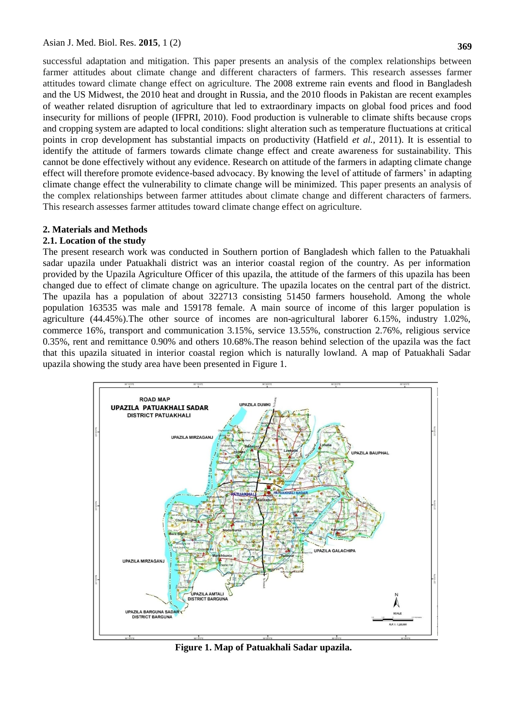successful adaptation and mitigation. This paper presents an analysis of the complex relationships between farmer attitudes about climate change and different characters of farmers. This research assesses farmer attitudes toward climate change effect on agriculture. The 2008 extreme rain events and flood in Bangladesh and the US Midwest, the 2010 heat and drought in Russia, and the 2010 floods in Pakistan are recent examples of weather related disruption of agriculture that led to extraordinary impacts on global food prices and food insecurity for millions of people (IFPRI, 2010). Food production is vulnerable to climate shifts because crops and cropping system are adapted to local conditions: slight alteration such as temperature fluctuations at critical points in crop development has substantial impacts on productivity (Hatfield *et al.*, 2011). It is essential to identify the attitude of farmers towards climate change effect and create awareness for sustainability. This cannot be done effectively without any evidence. Research on attitude of the farmers in adapting climate change effect will therefore promote evidence-based advocacy. By knowing the level of attitude of farmers" in adapting climate change effect the vulnerability to climate change will be minimized. This paper presents an analysis of the complex relationships between farmer attitudes about climate change and different characters of farmers. This research assesses farmer attitudes toward climate change effect on agriculture.

#### **2. Materials and Methods**

#### **2.1. Location of the study**

The present research work was conducted in Southern portion of Bangladesh which fallen to the Patuakhali sadar upazila under Patuakhali district was an interior coastal region of the country. As per information provided by the Upazila Agriculture Officer of this upazila, the attitude of the farmers of this upazila has been changed due to effect of climate change on agriculture. The upazila locates on the central part of the district. The upazila has a population of about 322713 consisting 51450 farmers household. Among the whole population 163535 was male and 159178 female. A main source of income of this larger population is agriculture (44.45%).The other source of incomes are non-agricultural laborer 6.15%, industry 1.02%, commerce 16%, transport and communication 3.15%, service 13.55%, construction 2.76%, religious service 0.35%, rent and remittance 0.90% and others 10.68%.The reason behind selection of the upazila was the fact that this upazila situated in interior coastal region which is naturally lowland. A map of Patuakhali Sadar upazila showing the study area have been presented in Figure 1.



**Figure 1. Map of Patuakhali Sadar upazila.**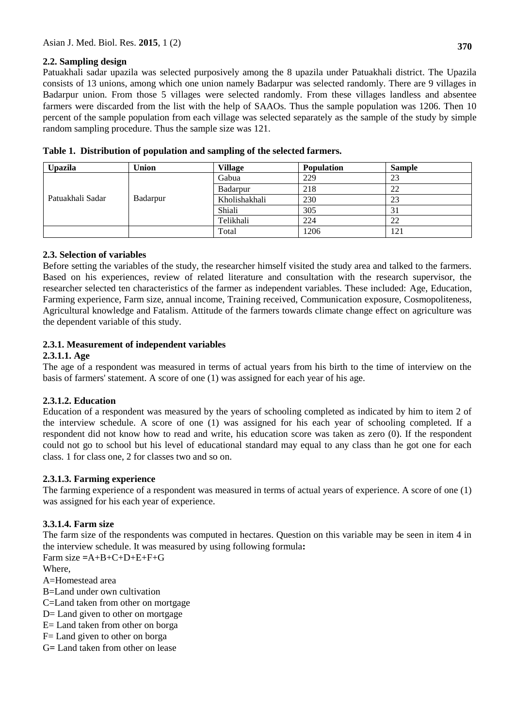## **2.2. Sampling design**

Patuakhali sadar upazila was selected purposively among the 8 upazila under Patuakhali district. The Upazila consists of 13 unions, among which one union namely Badarpur was selected randomly. There are 9 villages in Badarpur union. From those 5 villages were selected randomly. From these villages landless and absentee farmers were discarded from the list with the help of SAAOs. Thus the sample population was 1206. Then 10 percent of the sample population from each village was selected separately as the sample of the study by simple random sampling procedure. Thus the sample size was 121.

| <b>Upazila</b>   | Union    | <b>Village</b> | <b>Population</b> | <b>Sample</b> |
|------------------|----------|----------------|-------------------|---------------|
| Patuakhali Sadar |          | Gabua          | 229               | 23            |
|                  |          | Badarpur       | 218               | 22            |
|                  | Badarpur | Kholishakhali  | 230               | 23            |
|                  |          | Shiali         | 305               | 31            |
|                  |          | Telikhali      | 224               | 22            |
|                  |          | Total          | 1206              | 121           |

|  |  |  |  |  | Table 1. Distribution of population and sampling of the selected farmers. |
|--|--|--|--|--|---------------------------------------------------------------------------|
|--|--|--|--|--|---------------------------------------------------------------------------|

## **2.3. Selection of variables**

Before setting the variables of the study, the researcher himself visited the study area and talked to the farmers. Based on his experiences, review of related literature and consultation with the research supervisor, the researcher selected ten characteristics of the farmer as independent variables. These included: Age, Education, Farming experience, Farm size, annual income, Training received, Communication exposure, Cosmopoliteness, Agricultural knowledge and Fatalism. Attitude of the farmers towards climate change effect on agriculture was the dependent variable of this study.

## **2.3.1. Measurement of independent variables**

#### **2.3.1.1. Age**

The age of a respondent was measured in terms of actual years from his birth to the time of interview on the basis of farmers' statement. A score of one (1) was assigned for each year of his age.

## **2.3.1.2. Education**

Education of a respondent was measured by the years of schooling completed as indicated by him to item 2 of the interview schedule. A score of one (1) was assigned for his each year of schooling completed. If a respondent did not know how to read and write, his education score was taken as zero (0). If the respondent could not go to school but his level of educational standard may equal to any class than he got one for each class. 1 for class one, 2 for classes two and so on.

## **2.3.1.3. Farming experience**

The farming experience of a respondent was measured in terms of actual years of experience. A score of one (1) was assigned for his each year of experience.

## **3.3.1.4. Farm size**

The farm size of the respondents was computed in hectares. Question on this variable may be seen in item 4 in the interview schedule. It was measured by using following formula**:**

Farm size **=**A+B+C+D+E+F+G

Where,

A=Homestead area

B=Land under own cultivation

C=Land taken from other on mortgage

D= Land given to other on mortgage

E= Land taken from other on borga

F= Land given to other on borga

G**=** Land taken from other on lease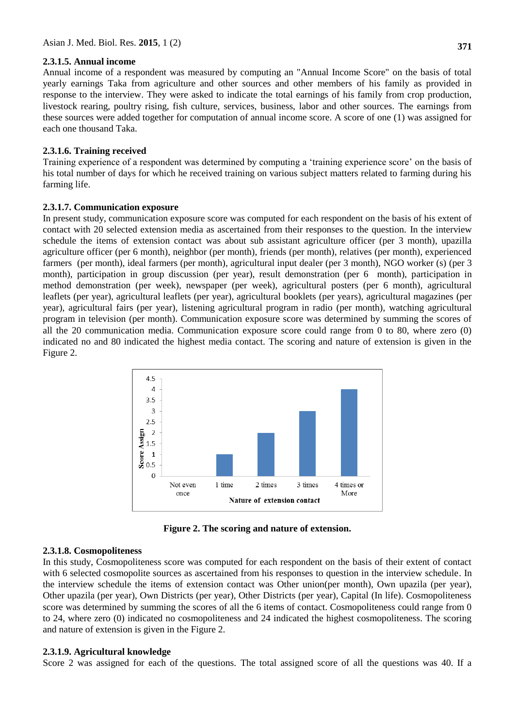#### **2.3.1.5. Annual income**

Annual income of a respondent was measured by computing an "Annual Income Score" on the basis of total yearly earnings Taka from agriculture and other sources and other members of his family as provided in response to the interview. They were asked to indicate the total earnings of his family from crop production, livestock rearing, poultry rising, fish culture, services, business, labor and other sources. The earnings from these sources were added together for computation of annual income score. A score of one (1) was assigned for each one thousand Taka.

#### **2.3.1.6. Training received**

Training experience of a respondent was determined by computing a "training experience score" on the basis of his total number of days for which he received training on various subject matters related to farming during his farming life.

#### **2.3.1.7. Communication exposure**

In present study, communication exposure score was computed for each respondent on the basis of his extent of contact with 20 selected extension media as ascertained from their responses to the question. In the interview schedule the items of extension contact was about sub assistant agriculture officer (per 3 month), upazilla agriculture officer (per 6 month), neighbor (per month), friends (per month), relatives (per month), experienced farmers (per month), ideal farmers (per month), agricultural input dealer (per 3 month), NGO worker (s) (per 3 month), participation in group discussion (per year), result demonstration (per 6 month), participation in method demonstration (per week), newspaper (per week), agricultural posters (per 6 month), agricultural leaflets (per year), agricultural leaflets (per year), agricultural booklets (per years), agricultural magazines (per year), agricultural fairs (per year), listening agricultural program in radio (per month), watching agricultural program in television (per month). Communication exposure score was determined by summing the scores of all the 20 communication media. Communication exposure score could range from 0 to 80, where zero (0) indicated no and 80 indicated the highest media contact. The scoring and nature of extension is given in the Figure 2.



**Figure 2. The scoring and nature of extension.**

#### **2.3.1.8. Cosmopoliteness**

In this study, Cosmopoliteness score was computed for each respondent on the basis of their extent of contact with 6 selected cosmopolite sources as ascertained from his responses to question in the interview schedule. In the interview schedule the items of extension contact was Other union(per month), Own upazila (per year), Other upazila (per year), Own Districts (per year), Other Districts (per year), Capital (In life). Cosmopoliteness score was determined by summing the scores of all the 6 items of contact. Cosmopoliteness could range from 0 to 24, where zero (0) indicated no cosmopoliteness and 24 indicated the highest cosmopoliteness. The scoring and nature of extension is given in the Figure 2.

#### **2.3.1.9. Agricultural knowledge**

Score 2 was assigned for each of the questions. The total assigned score of all the questions was 40. If a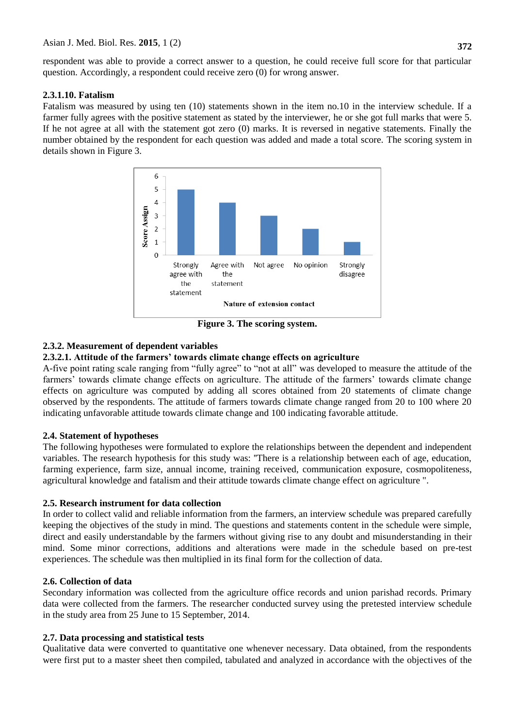respondent was able to provide a correct answer to a question, he could receive full score for that particular question. Accordingly, a respondent could receive zero (0) for wrong answer.

### **2.3.1.10. Fatalism**

Fatalism was measured by using ten (10) statements shown in the item no.10 in the interview schedule. If a farmer fully agrees with the positive statement as stated by the interviewer, he or she got full marks that were 5. If he not agree at all with the statement got zero (0) marks. It is reversed in negative statements. Finally the number obtained by the respondent for each question was added and made a total score. The scoring system in details shown in Figure 3.



**Figure 3. The scoring system.**

## **2.3.2. Measurement of dependent variables**

## **2.3.2.1. Attitude of the farmers' towards climate change effects on agriculture**

A-five point rating scale ranging from "fully agree" to "not at all" was developed to measure the attitude of the farmers" towards climate change effects on agriculture. The attitude of the farmers" towards climate change effects on agriculture was computed by adding all scores obtained from 20 statements of climate change observed by the respondents. The attitude of farmers towards climate change ranged from 20 to 100 where 20 indicating unfavorable attitude towards climate change and 100 indicating favorable attitude.

#### **2.4. Statement of hypotheses**

The following hypotheses were formulated to explore the relationships between the dependent and independent variables. The research hypothesis for this study was: ''There is a relationship between each of age, education, farming experience, farm size, annual income, training received, communication exposure, cosmopoliteness, agricultural knowledge and fatalism and their attitude towards climate change effect on agriculture ".

## **2.5. Research instrument for data collection**

In order to collect valid and reliable information from the farmers, an interview schedule was prepared carefully keeping the objectives of the study in mind. The questions and statements content in the schedule were simple, direct and easily understandable by the farmers without giving rise to any doubt and misunderstanding in their mind. Some minor corrections, additions and alterations were made in the schedule based on pre-test experiences. The schedule was then multiplied in its final form for the collection of data.

## **2.6. Collection of data**

Secondary information was collected from the agriculture office records and union parishad records. Primary data were collected from the farmers. The researcher conducted survey using the pretested interview schedule in the study area from 25 June to 15 September, 2014.

## **2.7. Data processing and statistical tests**

Qualitative data were converted to quantitative one whenever necessary. Data obtained, from the respondents were first put to a master sheet then compiled, tabulated and analyzed in accordance with the objectives of the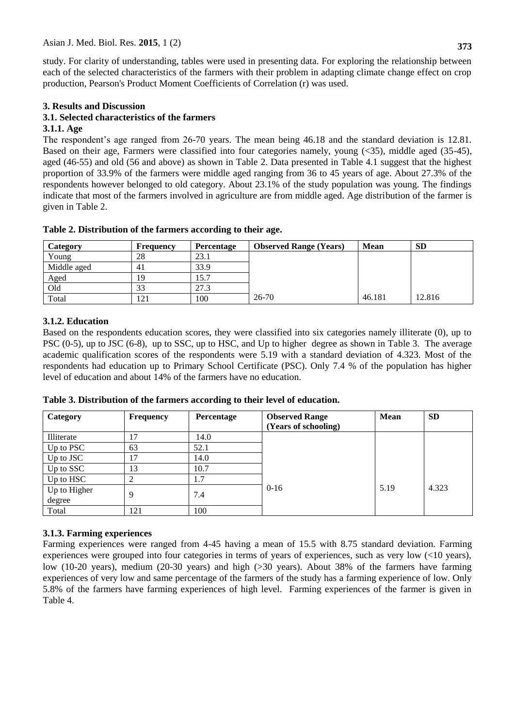study. For clarity of understanding, tables were used in presenting data. For exploring the relationship between each of the selected characteristics of the farmers with their problem in adapting climate change effect on crop production, Pearson's Product Moment Coefficients of Correlation (r) was used.

### **3. Results and Discussion**

# **3.1. Selected characteristics of the farmers**

#### **3.1.1. Age**

The respondent's age ranged from 26-70 years. The mean being 46.18 and the standard deviation is 12.81. Based on their age, Farmers were classified into four categories namely, young (<35), middle aged (35-45), aged (46-55) and old (56 and above) as shown in Table 2. Data presented in Table 4.1 suggest that the highest proportion of 33.9% of the farmers were middle aged ranging from 36 to 45 years of age. About 27.3% of the respondents however belonged to old category. About 23.1% of the study population was young. The findings indicate that most of the farmers involved in agriculture are from middle aged. Age distribution of the farmer is given in Table 2.

| Category    | Frequency      | <b>Percentage</b> | <b>Observed Range (Years)</b> | <b>Mean</b> | <b>SD</b> |
|-------------|----------------|-------------------|-------------------------------|-------------|-----------|
| Young       | 28             | 23.1              |                               |             |           |
| Middle aged | 4 <sub>1</sub> | 33.9              |                               |             |           |
| Aged        | 19             | 15.7              |                               |             |           |
| Old         | 33             | 27.3              |                               |             |           |
| Total       | 121            | 100               | $26 - 70$                     | 46.181      | 12.816    |

#### **Table 2. Distribution of the farmers according to their age.**

### **3.1.2. Education**

Based on the respondents education scores, they were classified into six categories namely illiterate (0), up to PSC (0-5), up to JSC (6-8), up to SSC, up to HSC, and Up to higher degree as shown in Table 3. The average academic qualification scores of the respondents were 5.19 with a standard deviation of 4.323. Most of the respondents had education up to Primary School Certificate (PSC). Only 7.4 % of the population has higher level of education and about 14% of the farmers have no education.

| Category     | <b>Frequency</b> | Percentage | <b>Observed Range</b> | Mean | <b>SD</b> |
|--------------|------------------|------------|-----------------------|------|-----------|
|              |                  |            | (Years of schooling)  |      |           |
| Illiterate   |                  | 14.0       |                       |      |           |
| Up to PSC    | 63               | 52.1       |                       |      |           |
| Up to JSC    | 17               | 14.0       |                       |      |           |
| Up to SSC    | 13               | 10.7       |                       |      |           |
| Up to HSC    |                  | 1.7        |                       |      |           |
| Up to Higher | 9                | 7.4        | $0 - 16$              | 5.19 | 4.323     |
| degree       |                  |            |                       |      |           |
| Total        | 121              | 100        |                       |      |           |

**Table 3. Distribution of the farmers according to their level of education.**

#### **3.1.3. Farming experiences**

Farming experiences were ranged from 4-45 having a mean of 15.5 with 8.75 standard deviation. Farming experiences were grouped into four categories in terms of years of experiences, such as very low (<10 years), low (10-20 years), medium (20-30 years) and high (>30 years). About 38% of the farmers have farming experiences of very low and same percentage of the farmers of the study has a farming experience of low. Only 5.8% of the farmers have farming experiences of high level. Farming experiences of the farmer is given in Table 4.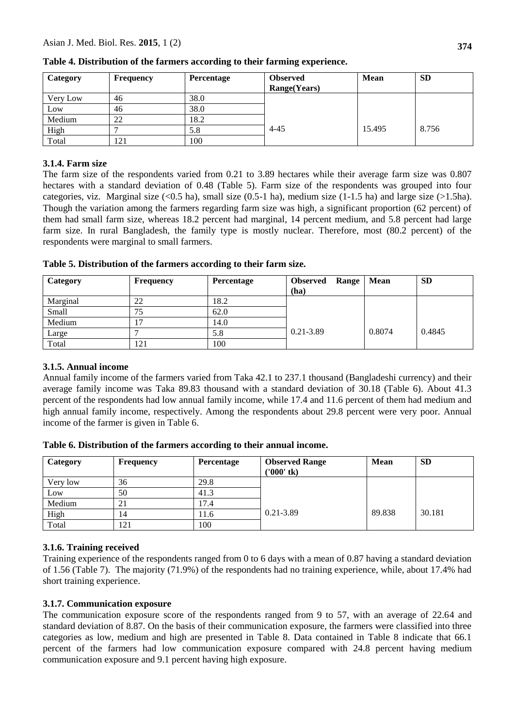| Category | Frequency | <b>Percentage</b> | <b>Observed</b><br>Range(Years) | <b>Mean</b> | <b>SD</b> |
|----------|-----------|-------------------|---------------------------------|-------------|-----------|
| Very Low | 46        | 38.0              |                                 |             |           |
| Low      | 46        | 38.0              |                                 |             |           |
| Medium   | 22        | 18.2              |                                 |             |           |
| High     |           | 5.8               | $4 - 45$                        | 15.495      | 8.756     |
| Total    | 121       | 100               |                                 |             |           |

**Table 4. Distribution of the farmers according to their farming experience.**

### **3.1.4. Farm size**

The farm size of the respondents varied from 0.21 to 3.89 hectares while their average farm size was 0.807 hectares with a standard deviation of 0.48 (Table 5). Farm size of the respondents was grouped into four categories, viz. Marginal size (<0.5 ha), small size (0.5-1 ha), medium size (1-1.5 ha) and large size (>1.5ha). Though the variation among the farmers regarding farm size was high, a significant proportion (62 percent) of them had small farm size, whereas 18.2 percent had marginal, 14 percent medium, and 5.8 percent had large farm size. In rural Bangladesh, the family type is mostly nuclear. Therefore, most (80.2 percent) of the respondents were marginal to small farmers.

|  | Table 5. Distribution of the farmers according to their farm size. |
|--|--------------------------------------------------------------------|
|--|--------------------------------------------------------------------|

| Category | <b>Frequency</b> | <b>Percentage</b> | Range<br><b>Observed</b> | Mean   | <b>SD</b> |
|----------|------------------|-------------------|--------------------------|--------|-----------|
|          |                  |                   | (ha)                     |        |           |
| Marginal | 22               | 18.2              |                          |        |           |
| Small    | 75               | 62.0              |                          |        |           |
| Medium   | ⇁                | 14.0              |                          |        |           |
| Large    |                  | 5.8               | $0.21 - 3.89$            | 0.8074 | 0.4845    |
| Total    | 121              | 100               |                          |        |           |

## **3.1.5. Annual income**

Annual family income of the farmers varied from Taka 42.1 to 237.1 thousand (Bangladeshi currency) and their average family income was Taka 89.83 thousand with a standard deviation of 30.18 (Table 6). About 41.3 percent of the respondents had low annual family income, while 17.4 and 11.6 percent of them had medium and high annual family income, respectively. Among the respondents about 29.8 percent were very poor. Annual income of the farmer is given in Table 6.

| Table 6. Distribution of the farmers according to their annual income. |  |
|------------------------------------------------------------------------|--|
|                                                                        |  |

| Category | Frequency      | <b>Percentage</b> | <b>Observed Range</b><br>('000' tk) | <b>Mean</b> | <b>SD</b> |
|----------|----------------|-------------------|-------------------------------------|-------------|-----------|
| Very low | 36             | 29.8              |                                     |             |           |
| Low      | 50             | 41.3              |                                     |             |           |
| Medium   | 21             | 17.4              |                                     |             |           |
| High     | $\overline{A}$ | 11.6              | $0.21 - 3.89$                       | 89.838      | 30.181    |
| Total    | 121            | 100               |                                     |             |           |

## **3.1.6. Training received**

Training experience of the respondents ranged from 0 to 6 days with a mean of 0.87 having a standard deviation of 1.56 (Table 7). The majority (71.9%) of the respondents had no training experience, while, about 17.4% had short training experience.

## **3.1.7. Communication exposure**

The communication exposure score of the respondents ranged from 9 to 57, with an average of 22.64 and standard deviation of 8.87. On the basis of their communication exposure, the farmers were classified into three categories as low, medium and high are presented in Table 8. Data contained in Table 8 indicate that 66.1 percent of the farmers had low communication exposure compared with 24.8 percent having medium communication exposure and 9.1 percent having high exposure.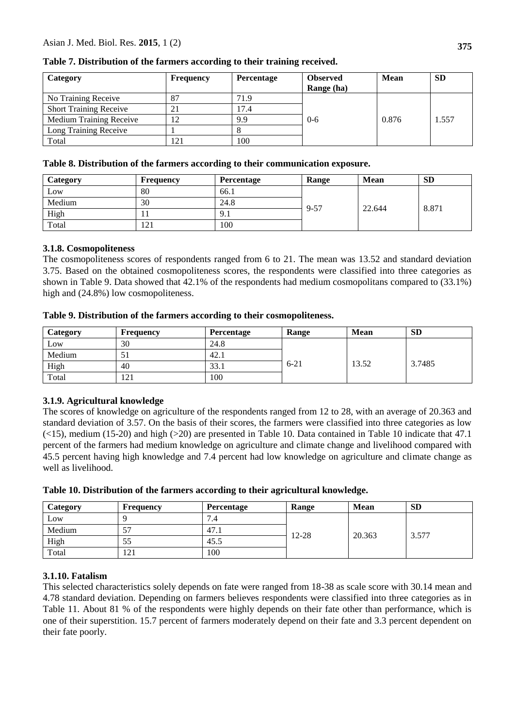| Category                       | <b>Frequency</b> | <b>Percentage</b> | <b>Observed</b><br>Range (ha) | <b>Mean</b> | <b>SD</b> |
|--------------------------------|------------------|-------------------|-------------------------------|-------------|-----------|
| No Training Receive            | 87               | 71.9              |                               |             |           |
| <b>Short Training Receive</b>  | $\angle 1$       | 17.4              |                               |             |           |
| <b>Medium Training Receive</b> | 12               | 9.9               | $0 - 6$                       | 0.876       | 1.557     |
| Long Training Receive          |                  |                   |                               |             |           |
| Total                          | 121              | 100               |                               |             |           |

**Table 7. Distribution of the farmers according to their training received.**

#### **Table 8. Distribution of the farmers according to their communication exposure.**

| Category | <b>Frequency</b> | <b>Percentage</b> | Range | <b>Mean</b> | <b>SD</b> |
|----------|------------------|-------------------|-------|-------------|-----------|
| Low      | 80               | 66.1              |       |             |           |
| Medium   | 30               | 24.8              |       |             |           |
| High     |                  | 9.1               | 9-57  | 22.644      | 8.871     |
| Total    | 121              | 100               |       |             |           |

## **3.1.8. Cosmopoliteness**

The cosmopoliteness scores of respondents ranged from 6 to 21. The mean was 13.52 and standard deviation 3.75. Based on the obtained cosmopoliteness scores, the respondents were classified into three categories as shown in Table 9. Data showed that 42.1% of the respondents had medium cosmopolitans compared to (33.1%) high and (24.8%) low cosmopoliteness.

| Table 9. Distribution of the farmers according to their cosmopoliteness. |  |  |
|--------------------------------------------------------------------------|--|--|
|--------------------------------------------------------------------------|--|--|

| Category | <b>Frequency</b> | Percentage | Range    | <b>Mean</b> | <b>SD</b> |
|----------|------------------|------------|----------|-------------|-----------|
| Low      | 30               | 24.8       |          |             |           |
| Medium   | ЭI               | 42.1       |          |             |           |
| High     | 40               | 33.1       | $6 - 21$ | 13.52       | 3.7485    |
| Total    | 121              | 100        |          |             |           |

## **3.1.9. Agricultural knowledge**

The scores of knowledge on agriculture of the respondents ranged from 12 to 28, with an average of 20.363 and standard deviation of 3.57. On the basis of their scores, the farmers were classified into three categories as low  $(\leq 15)$ , medium (15-20) and high ( $>20$ ) are presented in Table 10. Data contained in Table 10 indicate that 47.1 percent of the farmers had medium knowledge on agriculture and climate change and livelihood compared with 45.5 percent having high knowledge and 7.4 percent had low knowledge on agriculture and climate change as well as livelihood.

|  |  | Table 10. Distribution of the farmers according to their agricultural knowledge. |  |
|--|--|----------------------------------------------------------------------------------|--|
|  |  |                                                                                  |  |

| Category | <b>Frequency</b> | <b>Percentage</b> | Range     | <b>Mean</b> | <b>SD</b> |
|----------|------------------|-------------------|-----------|-------------|-----------|
| Low      |                  | 7.4               | $12 - 28$ | 20.363      | 3.577     |
| Medium   | 57               | 47.1              |           |             |           |
| High     | 55               | 45.5              |           |             |           |
| Total    | 121              | 100               |           |             |           |

## **3.1.10. Fatalism**

This selected characteristics solely depends on fate were ranged from 18-38 as scale score with 30.14 mean and 4.78 standard deviation. Depending on farmers believes respondents were classified into three categories as in Table 11. About 81 % of the respondents were highly depends on their fate other than performance, which is one of their superstition. 15.7 percent of farmers moderately depend on their fate and 3.3 percent dependent on their fate poorly.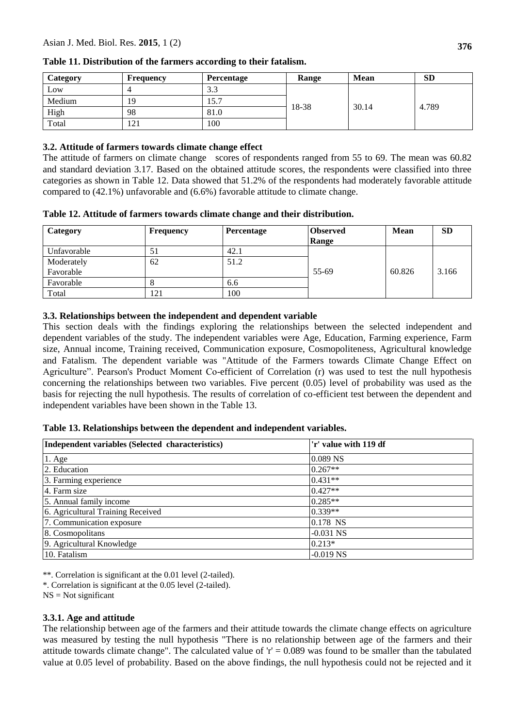| Category | <b>Frequency</b>   | Percentage | Range | <b>Mean</b> | <b>SD</b> |
|----------|--------------------|------------|-------|-------------|-----------|
| Low      |                    | ر. ر       | 18-38 | 30.14       | 4.789     |
| Medium   | 19                 | 15.7       |       |             |           |
| High     | 98                 | 81.0       |       |             |           |
| Total    | $\bigcap$ 1<br>141 | 100        |       |             |           |

**Table 11. Distribution of the farmers according to their fatalism.**

#### **3.2. Attitude of farmers towards climate change effect**

The attitude of farmers on climate change scores of respondents ranged from 55 to 69. The mean was 60.82 and standard deviation 3.17. Based on the obtained attitude scores, the respondents were classified into three categories as shown in Table 12. Data showed that 51.2% of the respondents had moderately favorable attitude compared to (42.1%) unfavorable and (6.6%) favorable attitude to climate change.

| Category    | Frequency | Percentage | <b>Observed</b><br>Range | <b>Mean</b> | <b>SD</b> |
|-------------|-----------|------------|--------------------------|-------------|-----------|
| Unfavorable | 51        | 42.1       |                          |             |           |
| Moderately  | 62        | 51.2       |                          |             |           |
| Favorable   |           |            | 55-69                    | 60.826      | 3.166     |
| Favorable   |           | 6.6        |                          |             |           |
| Total       | 121       | 100        |                          |             |           |

#### **3.3. Relationships between the independent and dependent variable**

This section deals with the findings exploring the relationships between the selected independent and dependent variables of the study. The independent variables were Age, Education, Farming experience, Farm size, Annual income, Training received, Communication exposure, Cosmopoliteness, Agricultural knowledge and Fatalism. The dependent variable was "Attitude of the Farmers towards Climate Change Effect on Agriculture". Pearson's Product Moment Co-efficient of Correlation (r) was used to test the null hypothesis concerning the relationships between two variables. Five percent (0.05) level of probability was used as the basis for rejecting the null hypothesis. The results of correlation of co-efficient test between the dependent and independent variables have been shown in the Table 13.

**Table 13. Relationships between the dependent and independent variables.**

| Independent variables (Selected characteristics) | 'r' value with 119 df |  |  |
|--------------------------------------------------|-----------------------|--|--|
| $1.$ Age                                         | 0.089 NS              |  |  |
| 2. Education                                     | $0.267**$             |  |  |
| 3. Farming experience                            | $0.431**$             |  |  |
| 4. Farm size                                     | $0.427**$             |  |  |
| 5. Annual family income                          | $0.285**$             |  |  |
| 6. Agricultural Training Received                | $0.339**$             |  |  |
| 7. Communication exposure                        | 0.178 NS              |  |  |
| 8. Cosmopolitans                                 | $-0.031$ NS           |  |  |
| 9. Agricultural Knowledge                        | $0.213*$              |  |  |
| 10. Fatalism                                     | $-0.019$ NS           |  |  |

\*\*. Correlation is significant at the 0.01 level (2-tailed).

\*. Correlation is significant at the 0.05 level (2-tailed).

 $NS = Not$  significant

## **3.3.1. Age and attitude**

The relationship between age of the farmers and their attitude towards the climate change effects on agriculture was measured by testing the null hypothesis "There is no relationship between age of the farmers and their attitude towards climate change". The calculated value of  $r' = 0.089$  was found to be smaller than the tabulated value at 0.05 level of probability. Based on the above findings, the null hypothesis could not be rejected and it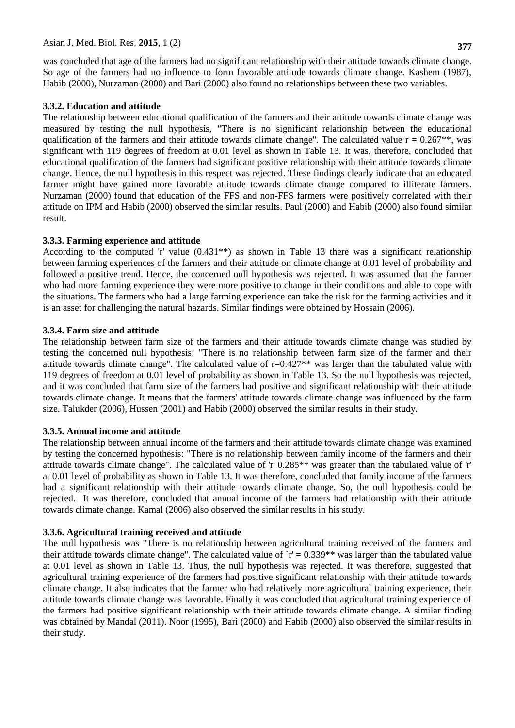was concluded that age of the farmers had no significant relationship with their attitude towards climate change. So age of the farmers had no influence to form favorable attitude towards climate change. Kashem (1987), Habib (2000), Nurzaman (2000) and Bari (2000) also found no relationships between these two variables.

#### **3.3.2. Education and attitude**

The relationship between educational qualification of the farmers and their attitude towards climate change was measured by testing the null hypothesis, "There is no significant relationship between the educational qualification of the farmers and their attitude towards climate change". The calculated value  $r = 0.267**$ , was significant with 119 degrees of freedom at 0.01 level as shown in Table 13. It was, therefore, concluded that educational qualification of the farmers had significant positive relationship with their attitude towards climate change. Hence, the null hypothesis in this respect was rejected. These findings clearly indicate that an educated farmer might have gained more favorable attitude towards climate change compared to illiterate farmers. Nurzaman (2000) found that education of the FFS and non-FFS farmers were positively correlated with their attitude on IPM and Habib (2000) observed the similar results. Paul (2000) and Habib (2000) also found similar result.

## **3.3.3. Farming experience and attitude**

According to the computed 'r' value  $(0.431**)$  as shown in Table 13 there was a significant relationship between farming experiences of the farmers and their attitude on climate change at 0.01 level of probability and followed a positive trend. Hence, the concerned null hypothesis was rejected. It was assumed that the farmer who had more farming experience they were more positive to change in their conditions and able to cope with the situations. The farmers who had a large farming experience can take the risk for the farming activities and it is an asset for challenging the natural hazards. Similar findings were obtained by Hossain (2006).

#### **3.3.4. Farm size and attitude**

The relationship between farm size of the farmers and their attitude towards climate change was studied by testing the concerned null hypothesis: "There is no relationship between farm size of the farmer and their attitude towards climate change". The calculated value of r=0.427\*\* was larger than the tabulated value with 119 degrees of freedom at 0.01 level of probability as shown in Table 13. So the null hypothesis was rejected, and it was concluded that farm size of the farmers had positive and significant relationship with their attitude towards climate change. It means that the farmers' attitude towards climate change was influenced by the farm size. Talukder (2006), Hussen (2001) and Habib (2000) observed the similar results in their study.

## **3.3.5. Annual income and attitude**

The relationship between annual income of the farmers and their attitude towards climate change was examined by testing the concerned hypothesis: "There is no relationship between family income of the farmers and their attitude towards climate change". The calculated value of 'r' 0.285\*\* was greater than the tabulated value of 'r' at 0.01 level of probability as shown in Table 13. It was therefore, concluded that family income of the farmers had a significant relationship with their attitude towards climate change. So, the null hypothesis could be rejected. It was therefore, concluded that annual income of the farmers had relationship with their attitude towards climate change. Kamal (2006) also observed the similar results in his study.

## **3.3.6. Agricultural training received and attitude**

The null hypothesis was "There is no relationship between agricultural training received of the farmers and their attitude towards climate change". The calculated value of  $r' = 0.339**$  was larger than the tabulated value at 0.01 level as shown in Table 13. Thus, the null hypothesis was rejected. It was therefore, suggested that agricultural training experience of the farmers had positive significant relationship with their attitude towards climate change. It also indicates that the farmer who had relatively more agricultural training experience, their attitude towards climate change was favorable. Finally it was concluded that agricultural training experience of the farmers had positive significant relationship with their attitude towards climate change. A similar finding was obtained by Mandal (2011). Noor (1995), Bari (2000) and Habib (2000) also observed the similar results in their study.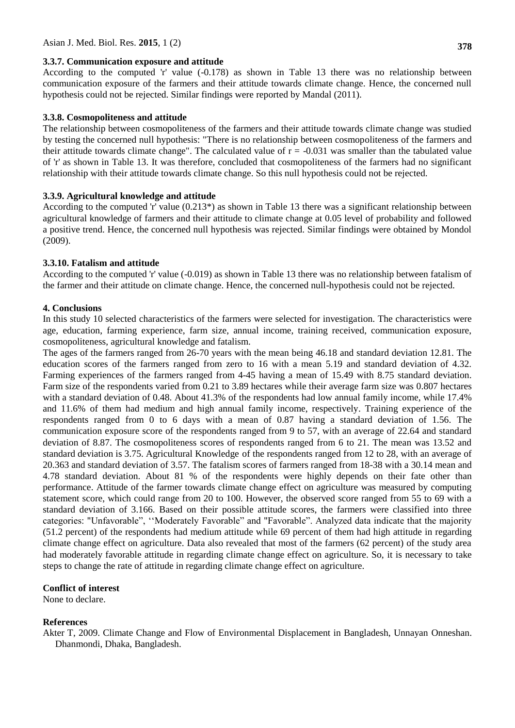#### **3.3.7. Communication exposure and attitude**

According to the computed 'r' value (-0.178) as shown in Table 13 there was no relationship between communication exposure of the farmers and their attitude towards climate change. Hence, the concerned null hypothesis could not be rejected. Similar findings were reported by Mandal (2011).

#### **3.3.8. Cosmopoliteness and attitude**

The relationship between cosmopoliteness of the farmers and their attitude towards climate change was studied by testing the concerned null hypothesis: "There is no relationship between cosmopoliteness of the farmers and their attitude towards climate change". The calculated value of  $r = -0.031$  was smaller than the tabulated value of 'r' as shown in Table 13. It was therefore, concluded that cosmopoliteness of the farmers had no significant relationship with their attitude towards climate change. So this null hypothesis could not be rejected.

#### **3.3.9. Agricultural knowledge and attitude**

According to the computed 'r' value (0.213\*) as shown in Table 13 there was a significant relationship between agricultural knowledge of farmers and their attitude to climate change at 0.05 level of probability and followed a positive trend. Hence, the concerned null hypothesis was rejected. Similar findings were obtained by Mondol (2009).

#### **3.3.10. Fatalism and attitude**

According to the computed 'r' value (-0.019) as shown in Table 13 there was no relationship between fatalism of the farmer and their attitude on climate change. Hence, the concerned null-hypothesis could not be rejected.

#### **4. Conclusions**

In this study 10 selected characteristics of the farmers were selected for investigation. The characteristics were age, education, farming experience, farm size, annual income, training received, communication exposure, cosmopoliteness, agricultural knowledge and fatalism.

The ages of the farmers ranged from 26-70 years with the mean being 46.18 and standard deviation 12.81. The education scores of the farmers ranged from zero to 16 with a mean 5.19 and standard deviation of 4.32. Farming experiences of the farmers ranged from 4-45 having a mean of 15.49 with 8.75 standard deviation. Farm size of the respondents varied from 0.21 to 3.89 hectares while their average farm size was 0.807 hectares with a standard deviation of 0.48. About 41.3% of the respondents had low annual family income, while 17.4% and 11.6% of them had medium and high annual family income, respectively. Training experience of the respondents ranged from 0 to 6 days with a mean of 0.87 having a standard deviation of 1.56. The communication exposure score of the respondents ranged from 9 to 57, with an average of 22.64 and standard deviation of 8.87. The cosmopoliteness scores of respondents ranged from 6 to 21. The mean was 13.52 and standard deviation is 3.75. Agricultural Knowledge of the respondents ranged from 12 to 28, with an average of 20.363 and standard deviation of 3.57. The fatalism scores of farmers ranged from 18-38 with a 30.14 mean and 4.78 standard deviation. About 81 % of the respondents were highly depends on their fate other than performance. Attitude of the farmer towards climate change effect on agriculture was measured by computing statement score, which could range from 20 to 100. However, the observed score ranged from 55 to 69 with a standard deviation of 3.166. Based on their possible attitude scores, the farmers were classified into three categories: "Unfavorable", ""Moderately Favorable" and "Favorable". Analyzed data indicate that the majority (51.2 percent) of the respondents had medium attitude while 69 percent of them had high attitude in regarding climate change effect on agriculture. Data also revealed that most of the farmers (62 percent) of the study area had moderately favorable attitude in regarding climate change effect on agriculture. So, it is necessary to take steps to change the rate of attitude in regarding climate change effect on agriculture.

#### **Conflict of interest**

None to declare.

#### **References**

Akter T, 2009. Climate Change and Flow of Environmental Displacement in Bangladesh, Unnayan Onneshan. Dhanmondi, Dhaka, Bangladesh.